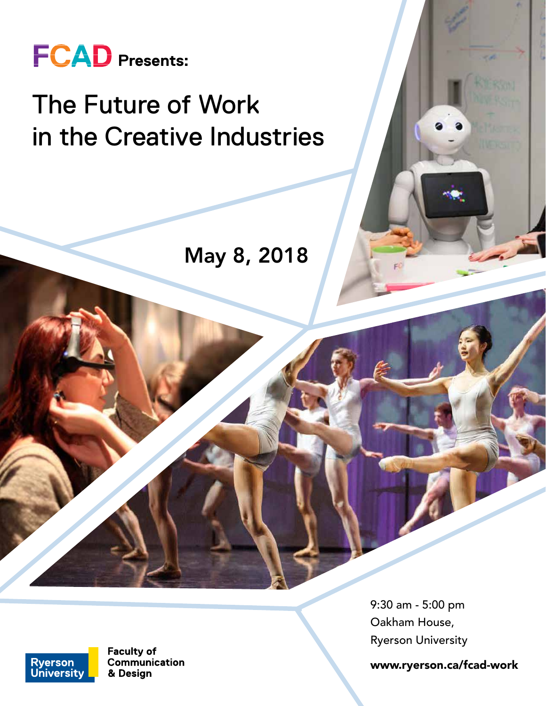

## The Future of Work in the Creative Industries

May 8, 2018

9:30 am - 5:00 pm Oakham House, Ryerson University

www.ryerson.ca/fcad-work



**Faculty of** Communication & Design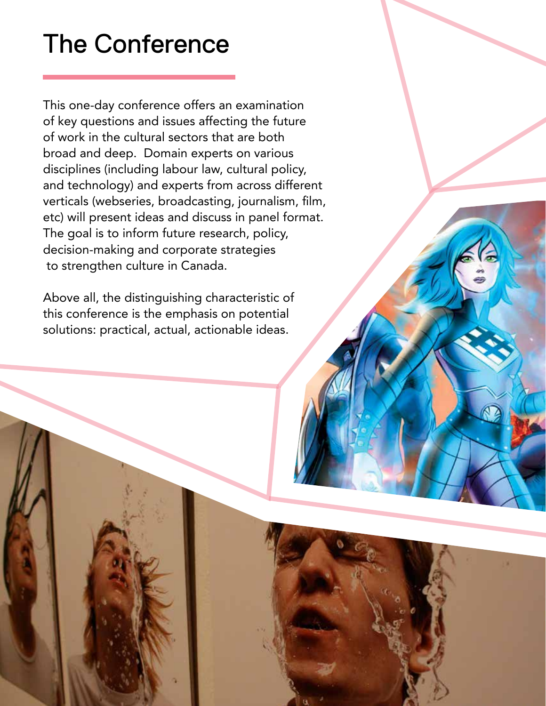# The Conference

This one-day conference offers an examination of key questions and issues affecting the future of work in the cultural sectors that are both broad and deep. Domain experts on various disciplines (including labour law, cultural policy, and technology) and experts from across different verticals (webseries, broadcasting, journalism, film, etc) will present ideas and discuss in panel format. The goal is to inform future research, policy, decision-making and corporate strategies to strengthen culture in Canada.

Above all, the distinguishing characteristic of this conference is the emphasis on potential solutions: practical, actual, actionable ideas.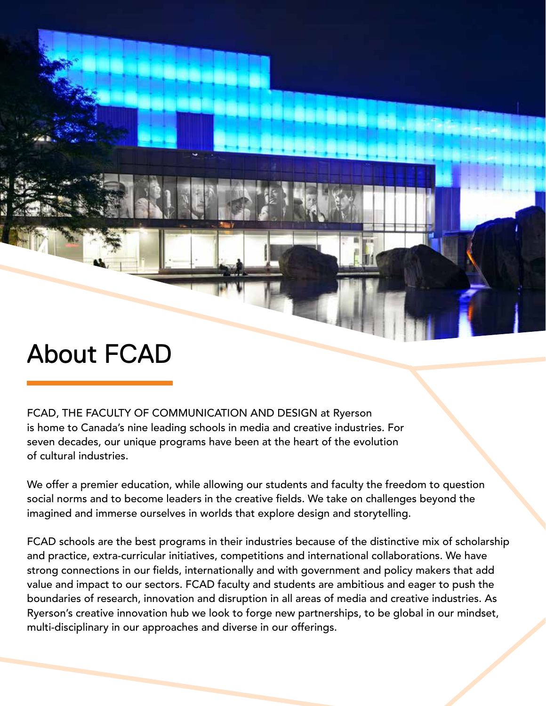### About FCAD

FCAD, THE FACULTY OF COMMUNICATION AND DESIGN at Ryerson is home to Canada's nine leading schools in media and creative industries. For seven decades, our unique programs have been at the heart of the evolution of cultural industries.

We offer a premier education, while allowing our students and faculty the freedom to question social norms and to become leaders in the creative fields. We take on challenges beyond the imagined and immerse ourselves in worlds that explore design and storytelling.

FCAD schools are the best programs in their industries because of the distinctive mix of scholarship and practice, extra-curricular initiatives, competitions and international collaborations. We have strong connections in our fields, internationally and with government and policy makers that add value and impact to our sectors. FCAD faculty and students are ambitious and eager to push the boundaries of research, innovation and disruption in all areas of media and creative industries. As Ryerson's creative innovation hub we look to forge new partnerships, to be global in our mindset, multi-disciplinary in our approaches and diverse in our offerings.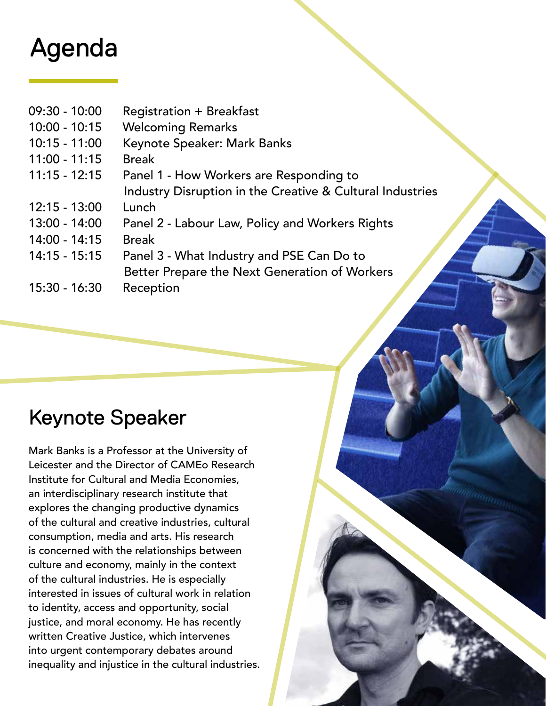### Agenda

- 09:30 10:00 Registration + Breakfast
- 10:00 10:15 Welcoming Remarks
- 10:15 11:00 Keynote Speaker: Mark Banks
- 11:00 11:15 Break
- 11:15 12:15 Panel 1 How Workers are Responding to
- Industry Disruption in the Creative & Cultural Industries
- 12:15 13:00 Lunch
- 13:00 14:00 Panel 2 Labour Law, Policy and Workers Rights
- 14:00 14:15 Break
- 14:15 15:15 Panel 3 What Industry and PSE Can Do to Better Prepare the Next Generation of Workers 15:30 - 16:30 Reception
- 

### Keynote Speaker

Mark Banks is a Professor at the University of Leicester and the Director of CAMEo Research Institute for Cultural and Media Economies, an interdisciplinary research institute that explores the changing productive dynamics of the cultural and creative industries, cultural consumption, media and arts. His research is concerned with the relationships between culture and economy, mainly in the context of the cultural industries. He is especially interested in issues of cultural work in relation to identity, access and opportunity, social justice, and moral economy. He has recently written Creative Justice, which intervenes into urgent contemporary debates around inequality and injustice in the cultural industries.